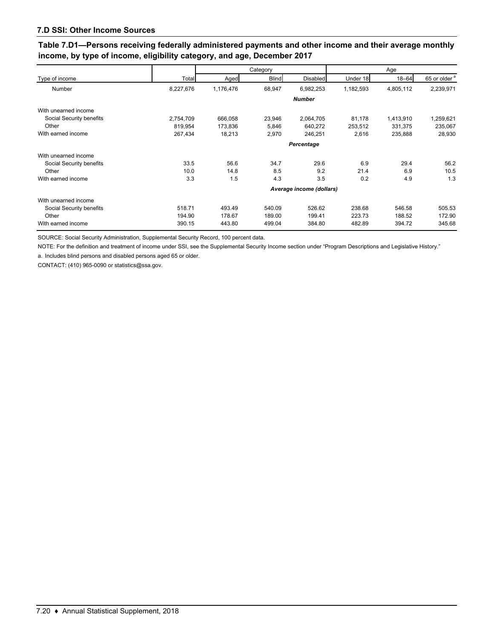| Table 7.D1—Persons receiving federally administered payments and other income and their average monthly |
|---------------------------------------------------------------------------------------------------------|
| income, by type of income, eligibility category, and age, December 2017                                 |

|                          |                          |            | Category     |               | Age              |           |                          |  |  |  |  |
|--------------------------|--------------------------|------------|--------------|---------------|------------------|-----------|--------------------------|--|--|--|--|
| Type of income           | Total                    | Aged       | <b>Blind</b> | Disabled      | Under 18         | $18 - 64$ | 65 or older <sup>a</sup> |  |  |  |  |
| Number                   | 8,227,676                | 1,176,476  | 68,947       | 6,982,253     | 1,182,593        | 4,805,112 | 2,239,971                |  |  |  |  |
|                          |                          |            |              | <b>Number</b> |                  |           |                          |  |  |  |  |
| With unearned income     |                          |            |              |               |                  |           |                          |  |  |  |  |
| Social Security benefits | 2,754,709                | 666,058    | 23,946       | 2,064,705     | 81,178           | 1,413,910 | 1,259,621                |  |  |  |  |
| Other                    | 819,954                  | 173,836    | 5,846        | 640,272       | 253,512          | 331,375   | 235,067                  |  |  |  |  |
| With earned income       | 267,434                  | 18,213     | 2,970        |               | 2,616<br>246,251 |           | 28,930                   |  |  |  |  |
|                          | Percentage               |            |              |               |                  |           |                          |  |  |  |  |
| With unearned income     |                          |            |              |               |                  |           |                          |  |  |  |  |
| Social Security benefits | 33.5                     | 56.6       | 34.7         | 29.6          | 6.9              | 29.4      | 56.2                     |  |  |  |  |
| Other                    | 10.0                     | 14.8       | 8.5          | 9.2           | 21.4             | 6.9       | 10.5                     |  |  |  |  |
| With earned income       | 3.3                      | 4.3<br>1.5 |              | 3.5           | 0.2              | 4.9       | 1.3                      |  |  |  |  |
|                          | Average income (dollars) |            |              |               |                  |           |                          |  |  |  |  |
| With unearned income     |                          |            |              |               |                  |           |                          |  |  |  |  |
| Social Security benefits | 518.71                   | 493.49     | 540.09       | 526.62        | 238.68           | 546.58    | 505.53                   |  |  |  |  |
| Other                    | 194.90                   | 178.67     | 189.00       | 199.41        | 223.73           | 188.52    | 172.90                   |  |  |  |  |
| With earned income       | 390.15                   | 443.80     | 499.04       | 384.80        | 482.89           | 394.72    | 345.68                   |  |  |  |  |

SOURCE: Social Security Administration, Supplemental Security Record, 100 percent data.

a. Includes blind persons and disabled persons aged 65 or older. NOTE: For the definition and treatment of income under SSI, see the Supplemental Security Income section under "Program Descriptions and Legislative History."

CONTACT: (410) 965-0090 or statistics@ssa.gov.